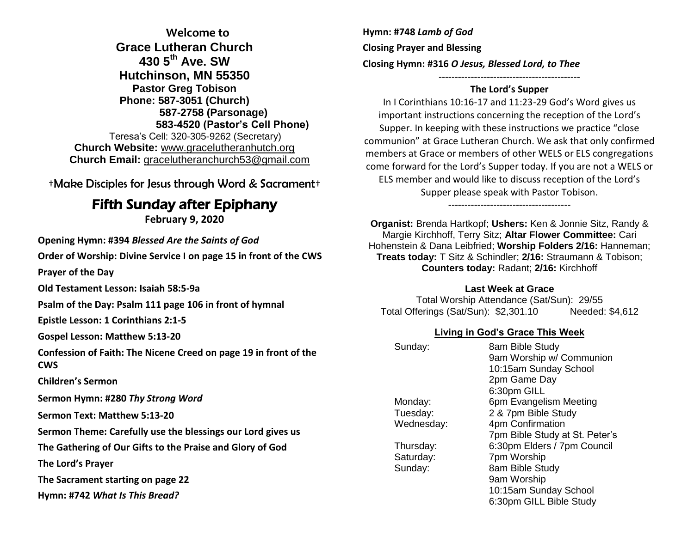**Welcome to Grace Lutheran Church 430 5th Ave. SW Hutchinson, MN 55350 Pastor Greg Tobison Phone: 587-3051 (Church) 587-2758 (Parsonage) 583-4520 (Pastor's Cell Phone)** Teresa's Cell: 320-305-9262 (Secretary) **Church Website:** [www.gracelutheranhutch.org](http://www.gracelutheranhutch.org/) **Church Email:** [gracelutheranchurch53@gmail.com](mailto:gracelutheranchurch53@gmail.com)

†Make Disciples for Jesus through Word & Sacrament†

# Fifth Sunday after Epiphany

**February 9, 2020**

**Opening Hymn: #394** *Blessed Are the Saints of God*

**Order of Worship: Divine Service I on page 15 in front of the CWS**

**Prayer of the Day**

**Old Testament Lesson: Isaiah 58:5-9a**

**Psalm of the Day: Psalm 111 page 106 in front of hymnal** 

**Epistle Lesson: 1 Corinthians 2:1-5**

**Gospel Lesson: Matthew 5:13-20**

**Confession of Faith: The Nicene Creed on page 19 in front of the CWS**

**Children's Sermon**

**Sermon Hymn: #280** *Thy Strong Word*

**Sermon Text: Matthew 5:13-20**

**Sermon Theme: Carefully use the blessings our Lord gives us**

**The Gathering of Our Gifts to the Praise and Glory of God**

**The Lord's Prayer**

**The Sacrament starting on page 22** 

**Hymn: #742** *What Is This Bread?*

**Hymn: #748** *Lamb of God* **Closing Prayer and Blessing Closing Hymn: #316** *O Jesus, Blessed Lord, to Thee*

### **The Lord's Supper**

--------------------------------------------

In I Corinthians 10:16-17 and 11:23-29 God's Word gives us important instructions concerning the reception of the Lord's Supper. In keeping with these instructions we practice "close communion" at Grace Lutheran Church. We ask that only confirmed members at Grace or members of other WELS or ELS congregations come forward for the Lord's Supper today. If you are not a WELS or ELS member and would like to discuss reception of the Lord's Supper please speak with Pastor Tobison.

--------------------------------------

**Organist:** Brenda Hartkopf; **Ushers:** Ken & Jonnie Sitz, Randy & Margie Kirchhoff, Terry Sitz; **Altar Flower Committee:** Cari Hohenstein & Dana Leibfried; **Worship Folders 2/16:** Hanneman; **Treats today:** T Sitz & Schindler; **2/16:** Straumann & Tobison; **Counters today:** Radant; **2/16:** Kirchhoff

#### **Last Week at Grace**

Total Worship Attendance (Sat/Sun): 29/55 Total Offerings (Sat/Sun): \$2,301.10 Needed: \$4,612

#### **Living in God's Grace This Week**

| Sunday:    | 8am Bible Study<br>9am Worship w/ Communion<br>10:15am Sunday School |
|------------|----------------------------------------------------------------------|
|            | 2pm Game Day                                                         |
|            | 6:30pm GILL                                                          |
| Monday:    | 6pm Evangelism Meeting                                               |
| Tuesday:   | 2 & 7pm Bible Study                                                  |
| Wednesday: | 4pm Confirmation                                                     |
|            | 7pm Bible Study at St. Peter's                                       |
| Thursday:  | 6:30pm Elders / 7pm Council                                          |
| Saturday:  | 7pm Worship                                                          |
| Sunday:    | 8am Bible Study                                                      |
|            | 9am Worship                                                          |
|            | 10:15am Sunday School                                                |
|            | 6:30pm GILL Bible Study                                              |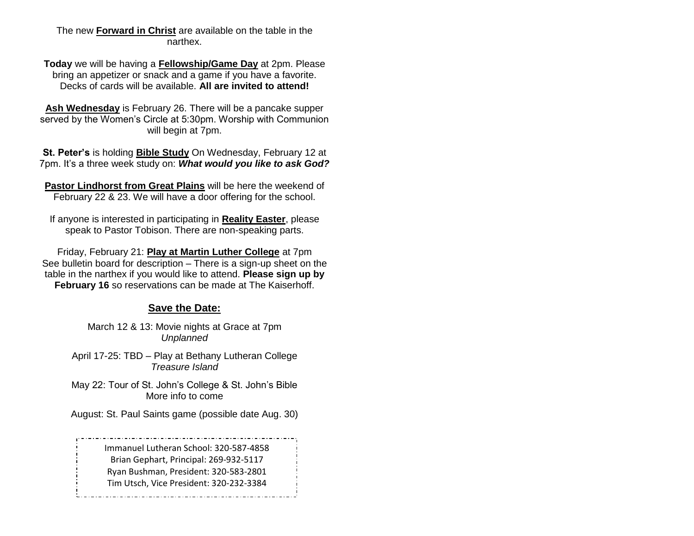### The new **Forward in Christ** are available on the table in the narthex.

**Today** we will be having a **Fellowship/Game Day** at 2pm. Please bring an appetizer or snack and a game if you have a favorite. Decks of cards will be available. **All are invited to attend!**

**Ash Wednesday** is February 26. There will be a pancake supper served by the Women's Circle at 5:30pm. Worship with Communion will begin at 7pm.

**St. Peter's** is holding **Bible Study** On Wednesday, February 12 at 7pm. It's a three week study on: *What would you like to ask God?*

**Pastor Lindhorst from Great Plains** will be here the weekend of February 22 & 23. We will have a door offering for the school.

If anyone is interested in participating in **Reality Easter**, please speak to Pastor Tobison. There are non-speaking parts.

Friday, February 21: **Play at Martin Luther College** at 7pm See bulletin board for description – There is a sign-up sheet on the table in the narthex if you would like to attend. **Please sign up by February 16** so reservations can be made at The Kaiserhoff.

## **Save the Date:**

March 12 & 13: Movie nights at Grace at 7pm *Unplanned*

April 17-25: TBD – Play at Bethany Lutheran College *Treasure Island*

May 22: Tour of St. John's College & St. John's Bible More info to come

August: St. Paul Saints game (possible date Aug. 30)

Immanuel Lutheran School: 320-587-4858 Brian Gephart, Principal: 269-932-5117 Ryan Bushman, President: 320-583-2801 Tim Utsch, Vice President: 320-232-3384